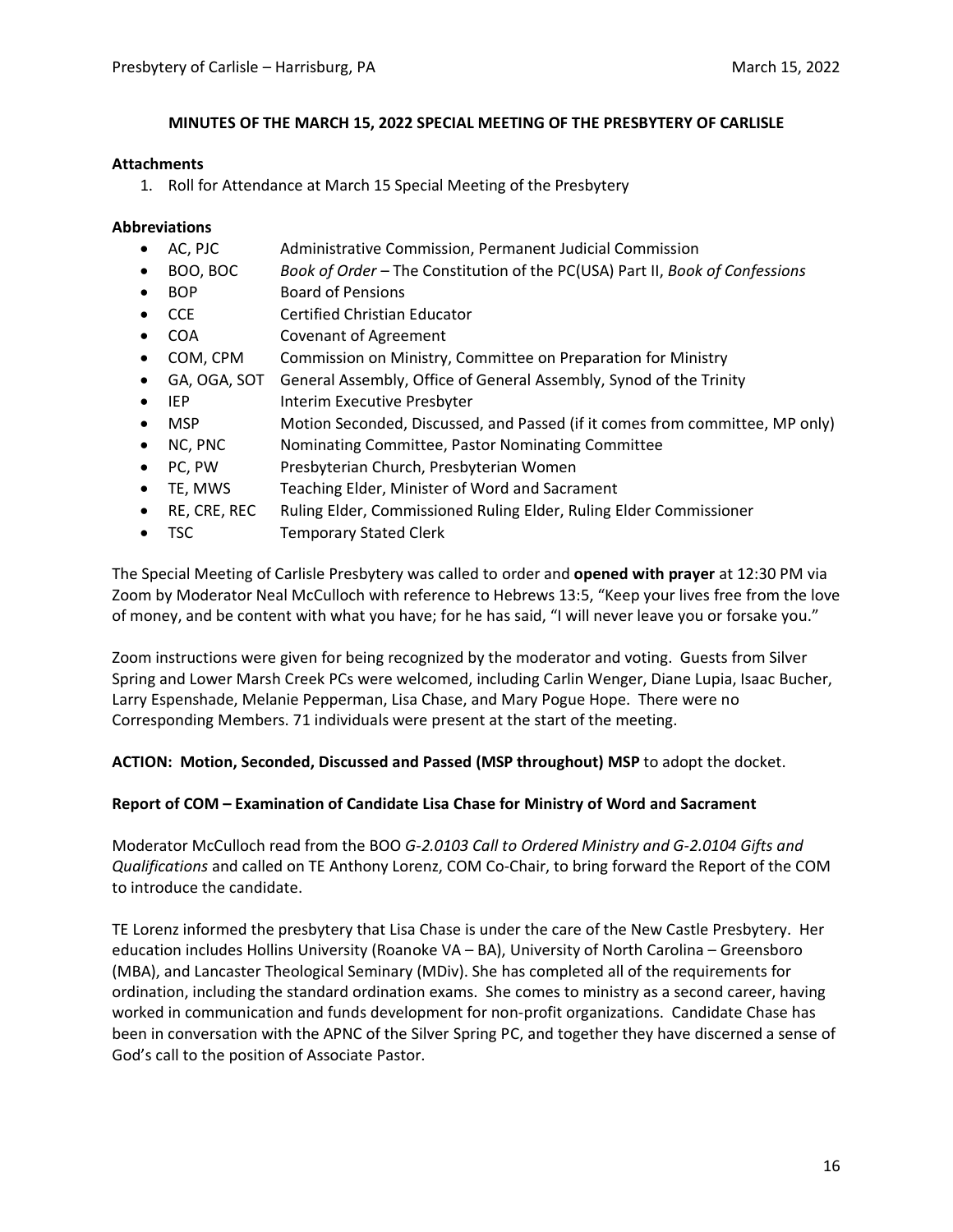#### **MINUTES OF THE MARCH 15, 2022 SPECIAL MEETING OF THE PRESBYTERY OF CARLISLE**

#### **Attachments**

1. Roll for Attendance at March 15 Special Meeting of the Presbytery

#### **Abbreviations**

- AC, PJC Administrative Commission, Permanent Judicial Commission
- BOO, BOC *Book of Order –* The Constitution of the PC(USA) Part II, *Book of Confessions*
- BOP Board of Pensions
- CCE Certified Christian Educator
- COA Covenant of Agreement
- COM, CPM Commission on Ministry, Committee on Preparation for Ministry
- GA, OGA, SOT General Assembly, Office of General Assembly, Synod of the Trinity
- IEP Interim Executive Presbyter
- MSP Motion Seconded, Discussed, and Passed (if it comes from committee, MP only)
- NC, PNC Nominating Committee, Pastor Nominating Committee
- PC, PW Presbyterian Church, Presbyterian Women
- TE, MWS Teaching Elder, Minister of Word and Sacrament
- RE, CRE, REC Ruling Elder, Commissioned Ruling Elder, Ruling Elder Commissioner
- TSC Temporary Stated Clerk

The Special Meeting of Carlisle Presbytery was called to order and **opened with prayer** at 12:30 PM via Zoom by Moderator Neal McCulloch with reference to Hebrews 13:5, "Keep your lives free from the love of money, and be content with what you have; for he has said, "I will never leave you or forsake you."

Zoom instructions were given for being recognized by the moderator and voting. Guests from Silver Spring and Lower Marsh Creek PCs were welcomed, including Carlin Wenger, Diane Lupia, Isaac Bucher, Larry Espenshade, Melanie Pepperman, Lisa Chase, and Mary Pogue Hope. There were no Corresponding Members. 71 individuals were present at the start of the meeting.

#### **ACTION: Motion, Seconded, Discussed and Passed (MSP throughout) MSP** to adopt the docket.

#### **Report of COM – Examination of Candidate Lisa Chase for Ministry of Word and Sacrament**

Moderator McCulloch read from the BOO *G-2.0103 Call to Ordered Ministry and G-2.0104 Gifts and Qualifications* and called on TE Anthony Lorenz, COM Co-Chair, to bring forward the Report of the COM to introduce the candidate.

TE Lorenz informed the presbytery that Lisa Chase is under the care of the New Castle Presbytery. Her education includes Hollins University (Roanoke VA – BA), University of North Carolina – Greensboro (MBA), and Lancaster Theological Seminary (MDiv). She has completed all of the requirements for ordination, including the standard ordination exams. She comes to ministry as a second career, having worked in communication and funds development for non-profit organizations. Candidate Chase has been in conversation with the APNC of the Silver Spring PC, and together they have discerned a sense of God's call to the position of Associate Pastor.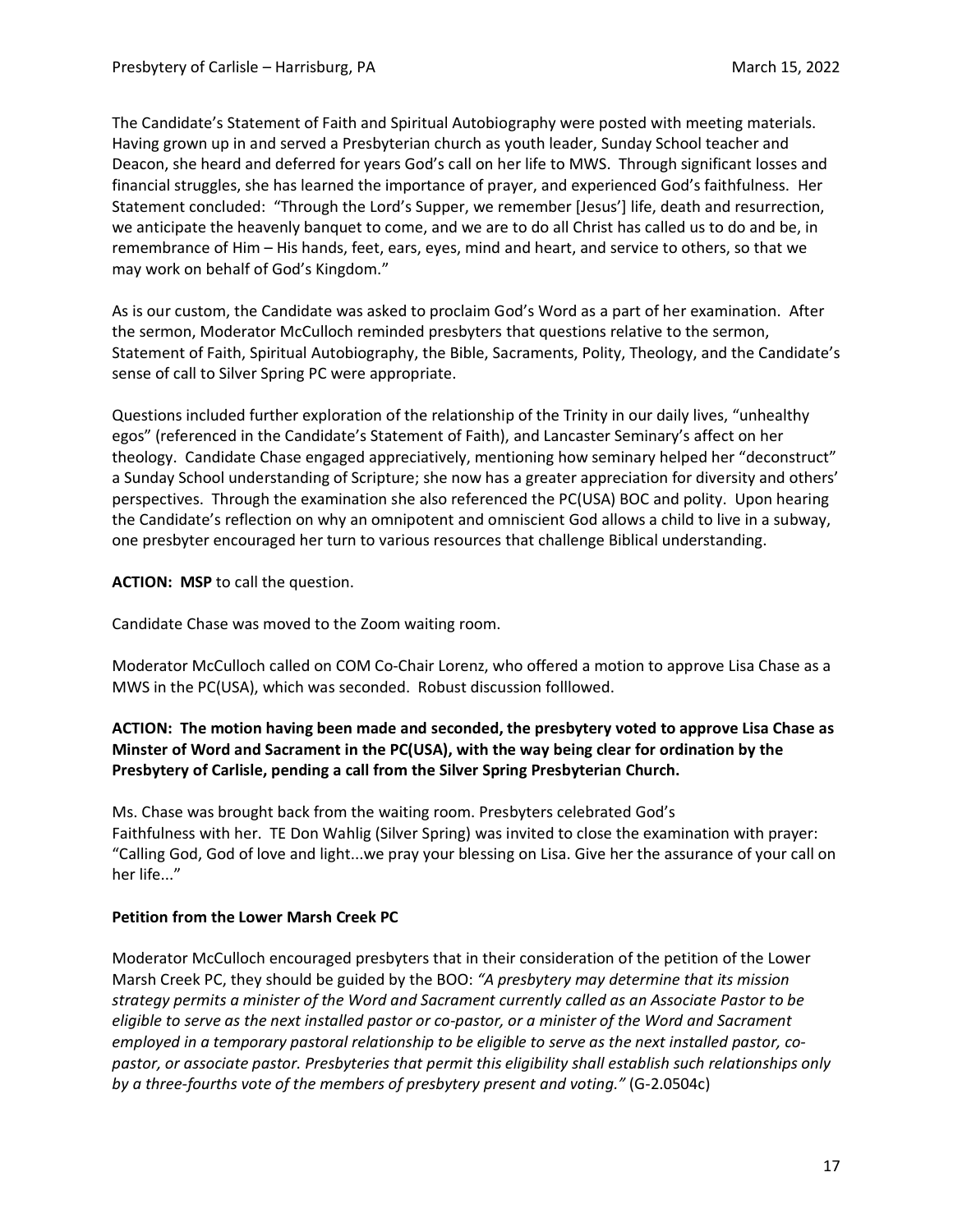The Candidate's Statement of Faith and Spiritual Autobiography were posted with meeting materials. Having grown up in and served a Presbyterian church as youth leader, Sunday School teacher and Deacon, she heard and deferred for years God's call on her life to MWS. Through significant losses and financial struggles, she has learned the importance of prayer, and experienced God's faithfulness. Her Statement concluded: "Through the Lord's Supper, we remember [Jesus'] life, death and resurrection, we anticipate the heavenly banquet to come, and we are to do all Christ has called us to do and be, in remembrance of Him – His hands, feet, ears, eyes, mind and heart, and service to others, so that we may work on behalf of God's Kingdom."

As is our custom, the Candidate was asked to proclaim God's Word as a part of her examination. After the sermon, Moderator McCulloch reminded presbyters that questions relative to the sermon, Statement of Faith, Spiritual Autobiography, the Bible, Sacraments, Polity, Theology, and the Candidate's sense of call to Silver Spring PC were appropriate.

Questions included further exploration of the relationship of the Trinity in our daily lives, "unhealthy egos" (referenced in the Candidate's Statement of Faith), and Lancaster Seminary's affect on her theology. Candidate Chase engaged appreciatively, mentioning how seminary helped her "deconstruct" a Sunday School understanding of Scripture; she now has a greater appreciation for diversity and others' perspectives. Through the examination she also referenced the PC(USA) BOC and polity. Upon hearing the Candidate's reflection on why an omnipotent and omniscient God allows a child to live in a subway, one presbyter encouraged her turn to various resources that challenge Biblical understanding.

**ACTION: MSP** to call the question.

Candidate Chase was moved to the Zoom waiting room.

Moderator McCulloch called on COM Co-Chair Lorenz, who offered a motion to approve Lisa Chase as a MWS in the PC(USA), which was seconded. Robust discussion folllowed.

## **ACTION: The motion having been made and seconded, the presbytery voted to approve Lisa Chase as Minster of Word and Sacrament in the PC(USA), with the way being clear for ordination by the Presbytery of Carlisle, pending a call from the Silver Spring Presbyterian Church.**

Ms. Chase was brought back from the waiting room. Presbyters celebrated God's Faithfulness with her. TE Don Wahlig (Silver Spring) was invited to close the examination with prayer: "Calling God, God of love and light...we pray your blessing on Lisa. Give her the assurance of your call on her life..."

## **Petition from the Lower Marsh Creek PC**

Moderator McCulloch encouraged presbyters that in their consideration of the petition of the Lower Marsh Creek PC, they should be guided by the BOO: *"A presbytery may determine that its mission strategy permits a minister of the Word and Sacrament currently called as an Associate Pastor to be* eligible to serve as the next installed pastor or co-pastor, or a minister of the Word and Sacrament *employed in a temporary pastoral relationship to be eligible to serve as the next installed pastor, copastor, or associate pastor. Presbyteries that permit this eligibility shall establish such relationships only by a three-fourths vote of the members of presbytery present and voting."* (G-2.0504c)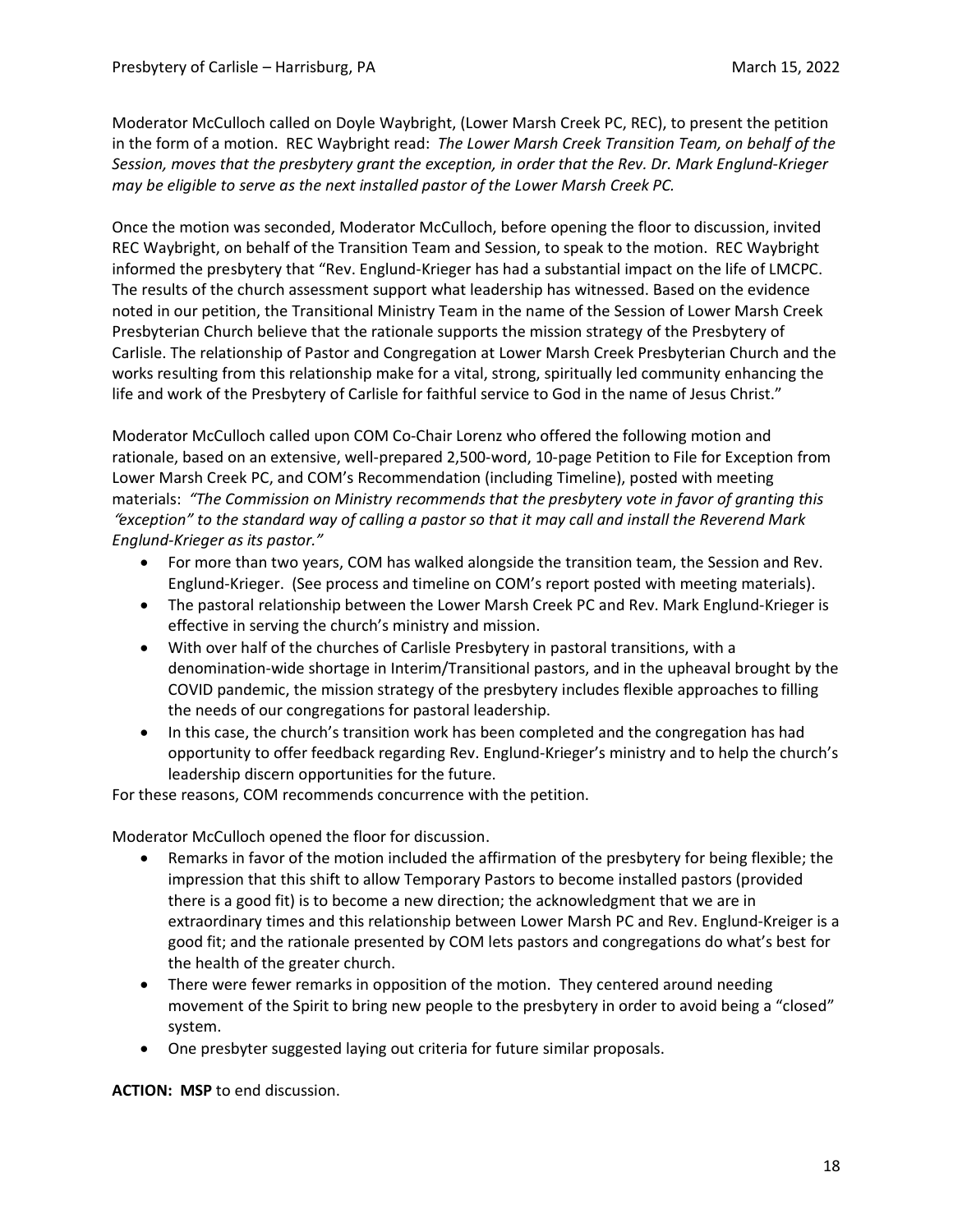Moderator McCulloch called on Doyle Waybright, (Lower Marsh Creek PC, REC), to present the petition in the form of a motion. REC Waybright read: *The Lower Marsh Creek Transition Team, on behalf of the Session, moves that the presbytery grant the exception, in order that the Rev. Dr. Mark Englund-Krieger may be eligible to serve as the next installed pastor of the Lower Marsh Creek PC.*

Once the motion was seconded, Moderator McCulloch, before opening the floor to discussion, invited REC Waybright, on behalf of the Transition Team and Session, to speak to the motion. REC Waybright informed the presbytery that "Rev. Englund-Krieger has had a substantial impact on the life of LMCPC. The results of the church assessment support what leadership has witnessed. Based on the evidence noted in our petition, the Transitional Ministry Team in the name of the Session of Lower Marsh Creek Presbyterian Church believe that the rationale supports the mission strategy of the Presbytery of Carlisle. The relationship of Pastor and Congregation at Lower Marsh Creek Presbyterian Church and the works resulting from this relationship make for a vital, strong, spiritually led community enhancing the life and work of the Presbytery of Carlisle for faithful service to God in the name of Jesus Christ."

Moderator McCulloch called upon COM Co-Chair Lorenz who offered the following motion and rationale, based on an extensive, well-prepared 2,500-word, 10-page Petition to File for Exception from Lower Marsh Creek PC, and COM's Recommendation (including Timeline), posted with meeting materials: *"The Commission on Ministry recommends that the presbytery vote in favor of granting this* "exception" to the standard way of calling a pastor so that it may call and install the Reverend Mark *Englund-Krieger as its pastor."*

- For more than two years, COM has walked alongside the transition team, the Session and Rev. Englund-Krieger. (See process and timeline on COM's report posted with meeting materials).
- The pastoral relationship between the Lower Marsh Creek PC and Rev. Mark Englund-Krieger is effective in serving the church's ministry and mission.
- With over half of the churches of Carlisle Presbytery in pastoral transitions, with a denomination-wide shortage in Interim/Transitional pastors, and in the upheaval brought by the COVID pandemic, the mission strategy of the presbytery includes flexible approaches to filling the needs of our congregations for pastoral leadership.
- In this case, the church's transition work has been completed and the congregation has had opportunity to offer feedback regarding Rev. Englund-Krieger's ministry and to help the church's leadership discern opportunities for the future.

For these reasons, COM recommends concurrence with the petition.

Moderator McCulloch opened the floor for discussion.

- Remarks in favor of the motion included the affirmation of the presbytery for being flexible; the impression that this shift to allow Temporary Pastors to become installed pastors (provided there is a good fit) is to become a new direction; the acknowledgment that we are in extraordinary times and this relationship between Lower Marsh PC and Rev. Englund-Kreiger is a good fit; and the rationale presented by COM lets pastors and congregations do what's best for the health of the greater church.
- There were fewer remarks in opposition of the motion. They centered around needing movement of the Spirit to bring new people to the presbytery in order to avoid being a "closed" system.
- One presbyter suggested laying out criteria for future similar proposals.

**ACTION: MSP** to end discussion.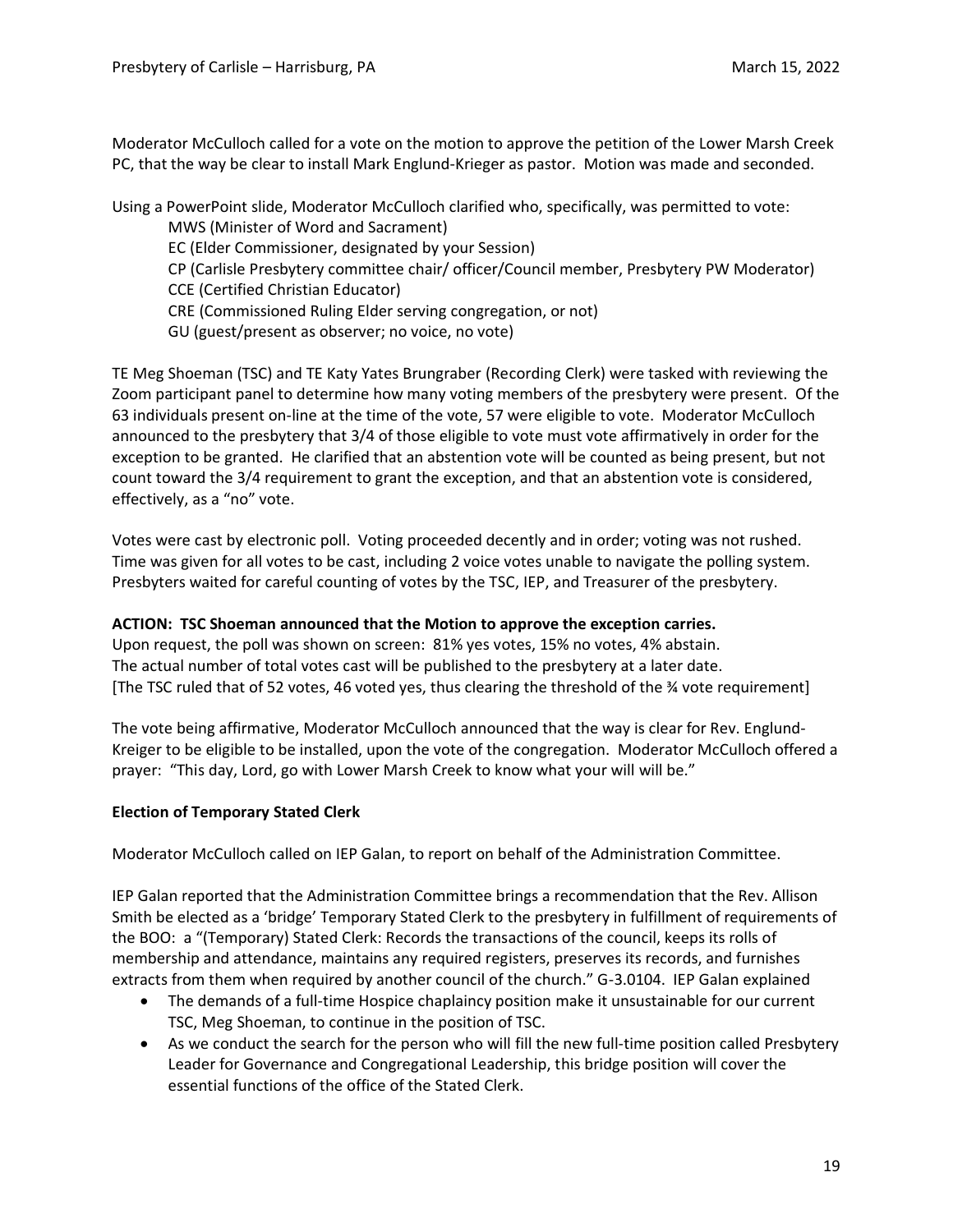Moderator McCulloch called for a vote on the motion to approve the petition of the Lower Marsh Creek PC, that the way be clear to install Mark Englund-Krieger as pastor. Motion was made and seconded.

Using a PowerPoint slide, Moderator McCulloch clarified who, specifically, was permitted to vote:

MWS (Minister of Word and Sacrament)

EC (Elder Commissioner, designated by your Session)

- CP (Carlisle Presbytery committee chair/ officer/Council member, Presbytery PW Moderator) CCE (Certified Christian Educator)
- CRE (Commissioned Ruling Elder serving congregation, or not)
- GU (guest/present as observer; no voice, no vote)

TE Meg Shoeman (TSC) and TE Katy Yates Brungraber (Recording Clerk) were tasked with reviewing the Zoom participant panel to determine how many voting members of the presbytery were present. Of the 63 individuals present on-line at the time of the vote, 57 were eligible to vote. Moderator McCulloch announced to the presbytery that 3/4 of those eligible to vote must vote affirmatively in order for the exception to be granted. He clarified that an abstention vote will be counted as being present, but not count toward the 3/4 requirement to grant the exception, and that an abstention vote is considered, effectively, as a "no" vote.

Votes were cast by electronic poll. Voting proceeded decently and in order; voting was not rushed. Time was given for all votes to be cast, including 2 voice votes unable to navigate the polling system. Presbyters waited for careful counting of votes by the TSC, IEP, and Treasurer of the presbytery.

## **ACTION: TSC Shoeman announced that the Motion to approve the exception carries.**

Upon request, the poll was shown on screen: 81% yes votes, 15% no votes, 4% abstain. The actual number of total votes cast will be published to the presbytery at a later date. [The TSC ruled that of 52 votes, 46 voted yes, thus clearing the threshold of the ¾ vote requirement]

The vote being affirmative, Moderator McCulloch announced that the way is clear for Rev. Englund-Kreiger to be eligible to be installed, upon the vote of the congregation. Moderator McCulloch offered a prayer: "This day, Lord, go with Lower Marsh Creek to know what your will will be."

## **Election of Temporary Stated Clerk**

Moderator McCulloch called on IEP Galan, to report on behalf of the Administration Committee.

IEP Galan reported that the Administration Committee brings a recommendation that the Rev. Allison Smith be elected as a 'bridge' Temporary Stated Clerk to the presbytery in fulfillment of requirements of the BOO: a "(Temporary) Stated Clerk: Records the transactions of the council, keeps its rolls of membership and attendance, maintains any required registers, preserves its records, and furnishes extracts from them when required by another council of the church." G-3.0104. IEP Galan explained

- The demands of a full-time Hospice chaplaincy position make it unsustainable for our current TSC, Meg Shoeman, to continue in the position of TSC.
- As we conduct the search for the person who will fill the new full-time position called Presbytery Leader for Governance and Congregational Leadership, this bridge position will cover the essential functions of the office of the Stated Clerk.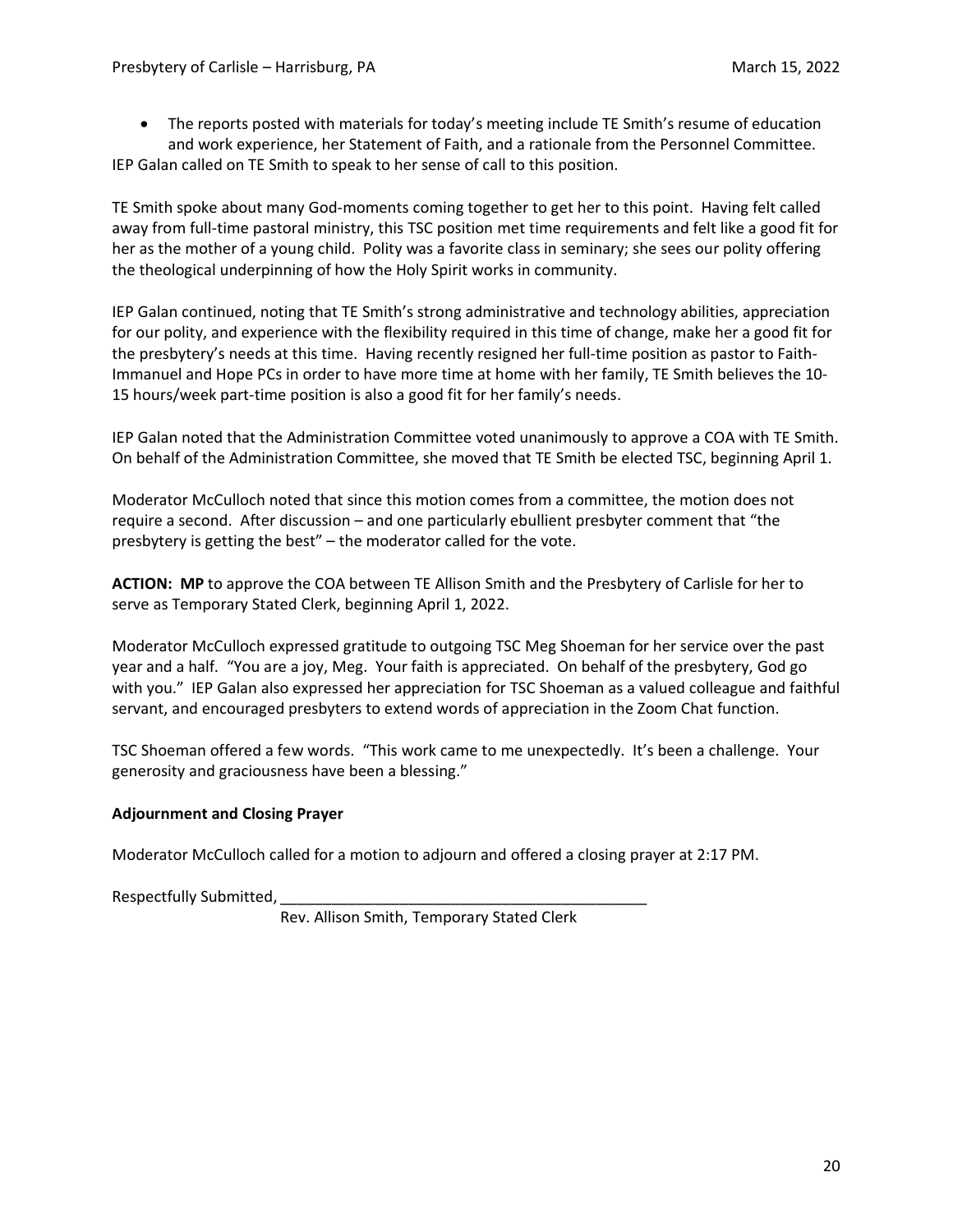• The reports posted with materials for today's meeting include TE Smith's resume of education and work experience, her Statement of Faith, and a rationale from the Personnel Committee. IEP Galan called on TE Smith to speak to her sense of call to this position.

TE Smith spoke about many God-moments coming together to get her to this point. Having felt called away from full-time pastoral ministry, this TSC position met time requirements and felt like a good fit for her as the mother of a young child. Polity was a favorite class in seminary; she sees our polity offering the theological underpinning of how the Holy Spirit works in community.

IEP Galan continued, noting that TE Smith's strong administrative and technology abilities, appreciation for our polity, and experience with the flexibility required in this time of change, make her a good fit for the presbytery's needs at this time. Having recently resigned her full-time position as pastor to Faith-Immanuel and Hope PCs in order to have more time at home with her family, TE Smith believes the 10- 15 hours/week part-time position is also a good fit for her family's needs.

IEP Galan noted that the Administration Committee voted unanimously to approve a COA with TE Smith. On behalf of the Administration Committee, she moved that TE Smith be elected TSC, beginning April 1.

Moderator McCulloch noted that since this motion comes from a committee, the motion does not require a second. After discussion – and one particularly ebullient presbyter comment that "the presbytery is getting the best" – the moderator called for the vote.

**ACTION: MP** to approve the COA between TE Allison Smith and the Presbytery of Carlisle for her to serve as Temporary Stated Clerk, beginning April 1, 2022.

Moderator McCulloch expressed gratitude to outgoing TSC Meg Shoeman for her service over the past year and a half. "You are a joy, Meg. Your faith is appreciated. On behalf of the presbytery, God go with you." IEP Galan also expressed her appreciation for TSC Shoeman as a valued colleague and faithful servant, and encouraged presbyters to extend words of appreciation in the Zoom Chat function.

TSC Shoeman offered a few words. "This work came to me unexpectedly. It's been a challenge. Your generosity and graciousness have been a blessing."

## **Adjournment and Closing Prayer**

Moderator McCulloch called for a motion to adjourn and offered a closing prayer at 2:17 PM.

Respectfully Submitted,

Rev. Allison Smith, Temporary Stated Clerk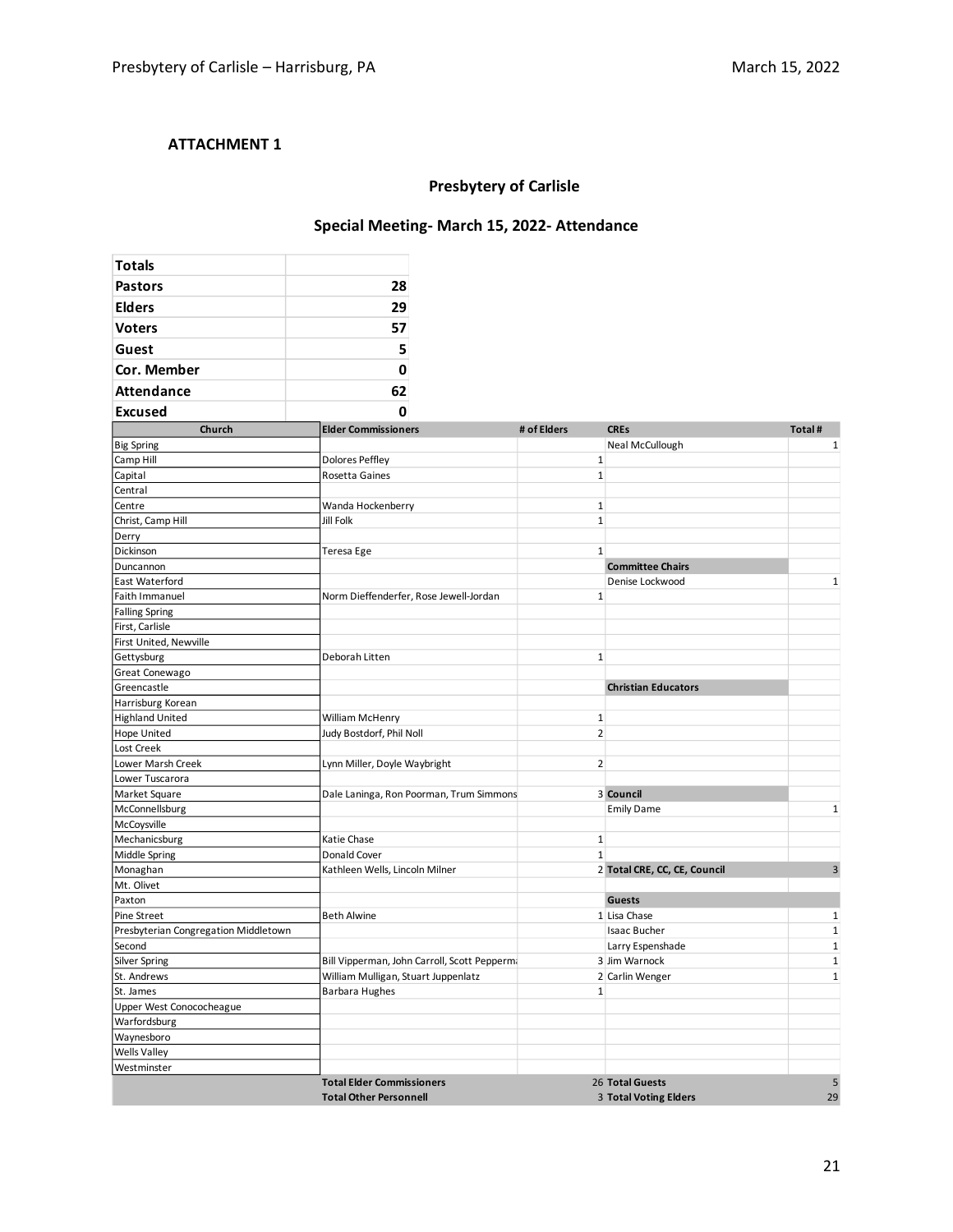## **ATTACHMENT 1**

# **Presbytery of Carlisle**

## **Special Meeting- March 15, 2022- Attendance**

| <b>Totals</b>                        |                                                                   |                |                                          |              |  |  |  |  |
|--------------------------------------|-------------------------------------------------------------------|----------------|------------------------------------------|--------------|--|--|--|--|
| <b>Pastors</b>                       | 28                                                                |                |                                          |              |  |  |  |  |
| <b>Elders</b>                        | 29                                                                |                |                                          |              |  |  |  |  |
| <b>Voters</b>                        | 57                                                                |                |                                          |              |  |  |  |  |
| Guest                                | 5                                                                 |                |                                          |              |  |  |  |  |
|                                      |                                                                   |                |                                          |              |  |  |  |  |
| Cor. Member                          | $\mathbf 0$                                                       |                |                                          |              |  |  |  |  |
| <b>Attendance</b>                    | 62                                                                |                |                                          |              |  |  |  |  |
| <b>Excused</b>                       | <sup>0</sup>                                                      |                |                                          |              |  |  |  |  |
| Church                               | <b>Elder Commissioners</b>                                        | # of Elders    | <b>CREs</b>                              | Total #      |  |  |  |  |
| <b>Big Spring</b>                    |                                                                   |                | Neal McCullough                          | 1            |  |  |  |  |
| Camp Hill                            | <b>Dolores Peffley</b>                                            | 1              |                                          |              |  |  |  |  |
| Capital                              | Rosetta Gaines                                                    | $\mathbf{1}$   |                                          |              |  |  |  |  |
| Central                              |                                                                   |                |                                          |              |  |  |  |  |
| Centre                               | Wanda Hockenberry                                                 | $\mathbf 1$    |                                          |              |  |  |  |  |
| Christ, Camp Hill                    | Jill Folk                                                         | $\mathbf{1}$   |                                          |              |  |  |  |  |
| Derry                                |                                                                   |                |                                          |              |  |  |  |  |
| Dickinson                            | Teresa Ege                                                        | $\mathbf{1}$   |                                          |              |  |  |  |  |
| Duncannon                            |                                                                   |                | <b>Committee Chairs</b>                  |              |  |  |  |  |
| East Waterford                       |                                                                   |                | Denise Lockwood                          | $\mathbf 1$  |  |  |  |  |
| Faith Immanuel                       | Norm Dieffenderfer, Rose Jewell-Jordan                            | $\mathbf{1}$   |                                          |              |  |  |  |  |
| <b>Falling Spring</b>                |                                                                   |                |                                          |              |  |  |  |  |
| First, Carlisle                      |                                                                   |                |                                          |              |  |  |  |  |
| First United, Newville               |                                                                   |                |                                          |              |  |  |  |  |
| Gettysburg                           | Deborah Litten                                                    | $\mathbf{1}$   |                                          |              |  |  |  |  |
| Great Conewago                       |                                                                   |                |                                          |              |  |  |  |  |
| Greencastle                          |                                                                   |                | <b>Christian Educators</b>               |              |  |  |  |  |
| Harrisburg Korean                    |                                                                   |                |                                          |              |  |  |  |  |
| <b>Highland United</b>               | William McHenry                                                   | $\mathbf{1}$   |                                          |              |  |  |  |  |
| <b>Hope United</b>                   | Judy Bostdorf, Phil Noll                                          | $\overline{2}$ |                                          |              |  |  |  |  |
| Lost Creek                           |                                                                   |                |                                          |              |  |  |  |  |
| Lower Marsh Creek                    | Lynn Miller, Doyle Waybright                                      | $\overline{2}$ |                                          |              |  |  |  |  |
| Lower Tuscarora                      |                                                                   |                |                                          |              |  |  |  |  |
| Market Square                        | Dale Laninga, Ron Poorman, Trum Simmons                           |                | 3 Council                                |              |  |  |  |  |
| McConnellsburg                       |                                                                   |                | <b>Emily Dame</b>                        | $\mathbf{1}$ |  |  |  |  |
| McCoysville                          |                                                                   |                |                                          |              |  |  |  |  |
| Mechanicsburg                        | Katie Chase                                                       | 1              |                                          |              |  |  |  |  |
| <b>Middle Spring</b>                 | Donald Cover                                                      | $\mathbf{1}$   |                                          |              |  |  |  |  |
| Monaghan                             | Kathleen Wells, Lincoln Milner                                    |                | 2 Total CRE, CC, CE, Council             | 3            |  |  |  |  |
| Mt. Olivet                           |                                                                   |                |                                          |              |  |  |  |  |
| Paxton                               |                                                                   |                | <b>Guests</b>                            |              |  |  |  |  |
| <b>Pine Street</b>                   | <b>Beth Alwine</b>                                                |                | 1 Lisa Chase                             | $\mathbf{1}$ |  |  |  |  |
| Presbyterian Congregation Middletown |                                                                   |                | <b>Isaac Bucher</b>                      | $\mathbf 1$  |  |  |  |  |
| Second                               |                                                                   |                | Larry Espenshade                         | $\mathbf 1$  |  |  |  |  |
| Silver Spring                        | Bill Vipperman, John Carroll, Scott Pepperm.                      |                | 3 Jim Warnock                            | $\mathbf 1$  |  |  |  |  |
| St. Andrews                          | William Mulligan, Stuart Juppenlatz                               |                | 2 Carlin Wenger                          | $\mathbf{1}$ |  |  |  |  |
| St. James                            | <b>Barbara Hughes</b>                                             | $\mathbf{1}$   |                                          |              |  |  |  |  |
| Upper West Conococheague             |                                                                   |                |                                          |              |  |  |  |  |
| Warfordsburg                         |                                                                   |                |                                          |              |  |  |  |  |
| Waynesboro                           |                                                                   |                |                                          |              |  |  |  |  |
| <b>Wells Valley</b>                  |                                                                   |                |                                          |              |  |  |  |  |
| Westminster                          |                                                                   |                |                                          |              |  |  |  |  |
|                                      | <b>Total Elder Commissioners</b><br><b>Total Other Personnell</b> |                | 26 Total Guests<br>3 Total Voting Elders | 5<br>29      |  |  |  |  |